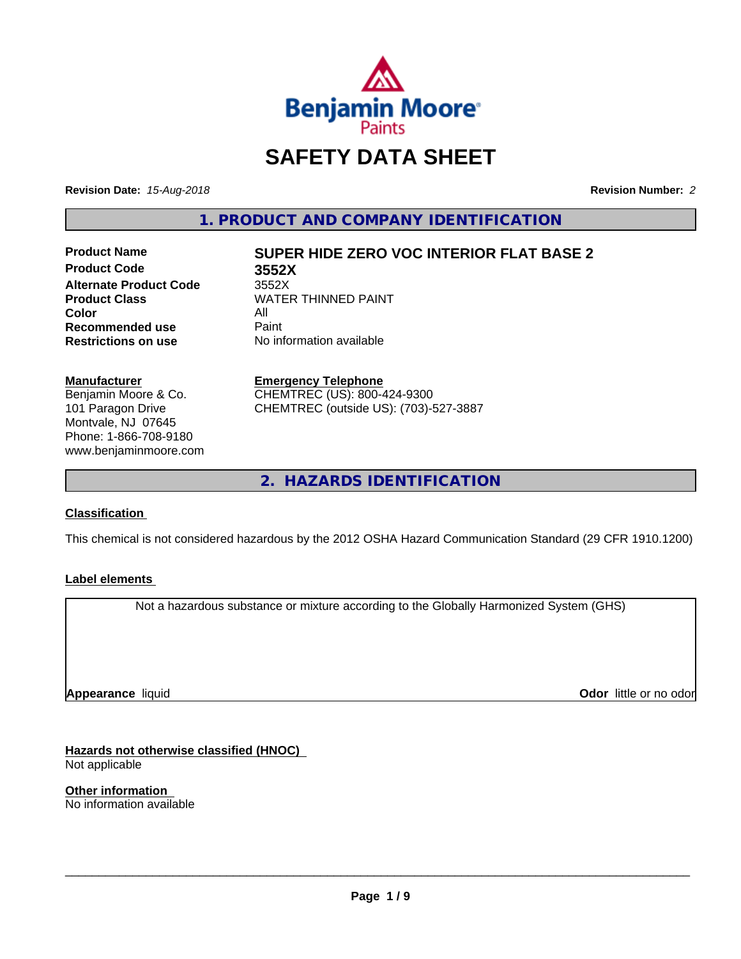

# **SAFETY DATA SHEET**

**Revision Date:** *15-Aug-2018* **Revision Number:** *2*

**1. PRODUCT AND COMPANY IDENTIFICATION**

**Product Code 3552X Alternate Product Code** 3552X<br> **Product Class** WATEI **Color** All<br> **Recommended use** Paint **Recommended use**<br>Restrictions on use

# **Product Name SUPER HIDE ZERO VOC INTERIOR FLAT BASE 2**

**WATER THINNED PAINT No information available** 

#### **Manufacturer**

Benjamin Moore & Co. 101 Paragon Drive Montvale, NJ 07645 Phone: 1-866-708-9180 www.benjaminmoore.com

#### **Emergency Telephone** CHEMTREC (US): 800-424-9300 CHEMTREC (outside US): (703)-527-3887

**2. HAZARDS IDENTIFICATION**

#### **Classification**

This chemical is not considered hazardous by the 2012 OSHA Hazard Communication Standard (29 CFR 1910.1200)

#### **Label elements**

Not a hazardous substance or mixture according to the Globally Harmonized System (GHS)

**Appearance** liquid

**Odor** little or no odor

**Hazards not otherwise classified (HNOC)** Not applicable

**Other information** No information available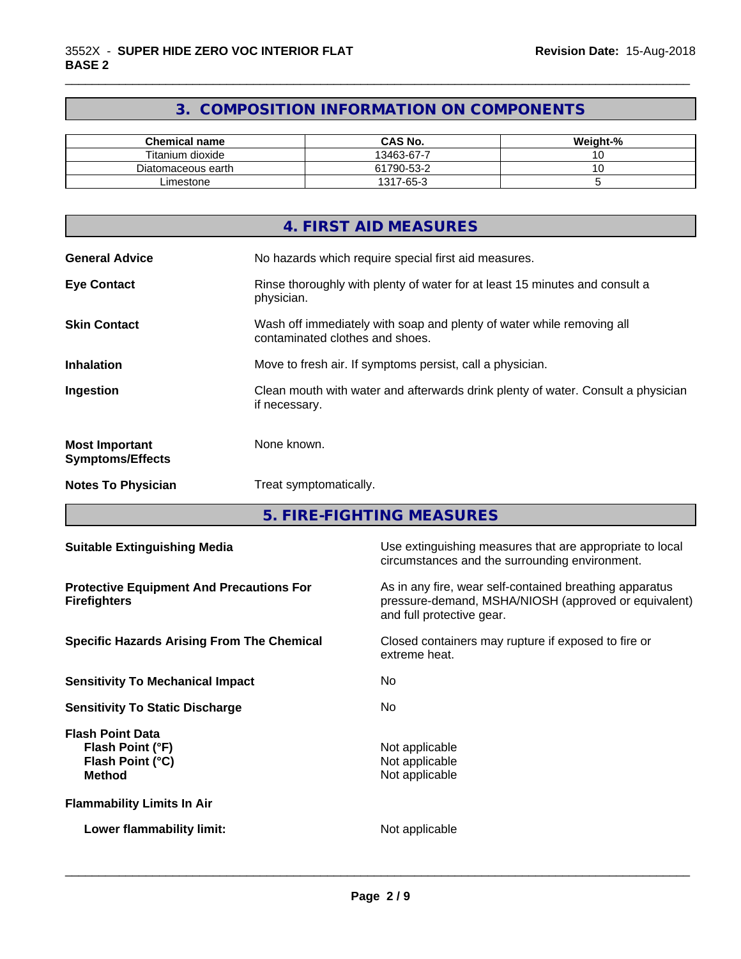# **3. COMPOSITION INFORMATION ON COMPONENTS**

\_\_\_\_\_\_\_\_\_\_\_\_\_\_\_\_\_\_\_\_\_\_\_\_\_\_\_\_\_\_\_\_\_\_\_\_\_\_\_\_\_\_\_\_\_\_\_\_\_\_\_\_\_\_\_\_\_\_\_\_\_\_\_\_\_\_\_\_\_\_\_\_\_\_\_\_\_\_\_\_\_\_\_\_\_\_\_\_\_\_\_\_\_

| <b>Chemical name</b> | <b>CAS No.</b> | Weight-% |
|----------------------|----------------|----------|
| Titanium dioxide     | 13463-67-7     |          |
| Diatomaceous earth   | 61790-53-2     |          |
| Limestone            | 1317-65-3      |          |

|                                                  | 4. FIRST AID MEASURES                                                                                    |
|--------------------------------------------------|----------------------------------------------------------------------------------------------------------|
| <b>General Advice</b>                            | No hazards which require special first aid measures.                                                     |
| <b>Eye Contact</b>                               | Rinse thoroughly with plenty of water for at least 15 minutes and consult a<br>physician.                |
| <b>Skin Contact</b>                              | Wash off immediately with soap and plenty of water while removing all<br>contaminated clothes and shoes. |
| <b>Inhalation</b>                                | Move to fresh air. If symptoms persist, call a physician.                                                |
| Ingestion                                        | Clean mouth with water and afterwards drink plenty of water. Consult a physician<br>if necessary.        |
| <b>Most Important</b><br><b>Symptoms/Effects</b> | None known.                                                                                              |
| <b>Notes To Physician</b>                        | Treat symptomatically.                                                                                   |

**5. FIRE-FIGHTING MEASURES**

| <b>Suitable Extinguishing Media</b>                                              | Use extinguishing measures that are appropriate to local<br>circumstances and the surrounding environment.                                   |
|----------------------------------------------------------------------------------|----------------------------------------------------------------------------------------------------------------------------------------------|
| <b>Protective Equipment And Precautions For</b><br><b>Firefighters</b>           | As in any fire, wear self-contained breathing apparatus<br>pressure-demand, MSHA/NIOSH (approved or equivalent)<br>and full protective gear. |
| <b>Specific Hazards Arising From The Chemical</b>                                | Closed containers may rupture if exposed to fire or<br>extreme heat.                                                                         |
| <b>Sensitivity To Mechanical Impact</b>                                          | No.                                                                                                                                          |
| <b>Sensitivity To Static Discharge</b>                                           | No.                                                                                                                                          |
| <b>Flash Point Data</b><br>Flash Point (°F)<br>Flash Point (°C)<br><b>Method</b> | Not applicable<br>Not applicable<br>Not applicable                                                                                           |
| <b>Flammability Limits In Air</b>                                                |                                                                                                                                              |
| Lower flammability limit:                                                        | Not applicable                                                                                                                               |
|                                                                                  |                                                                                                                                              |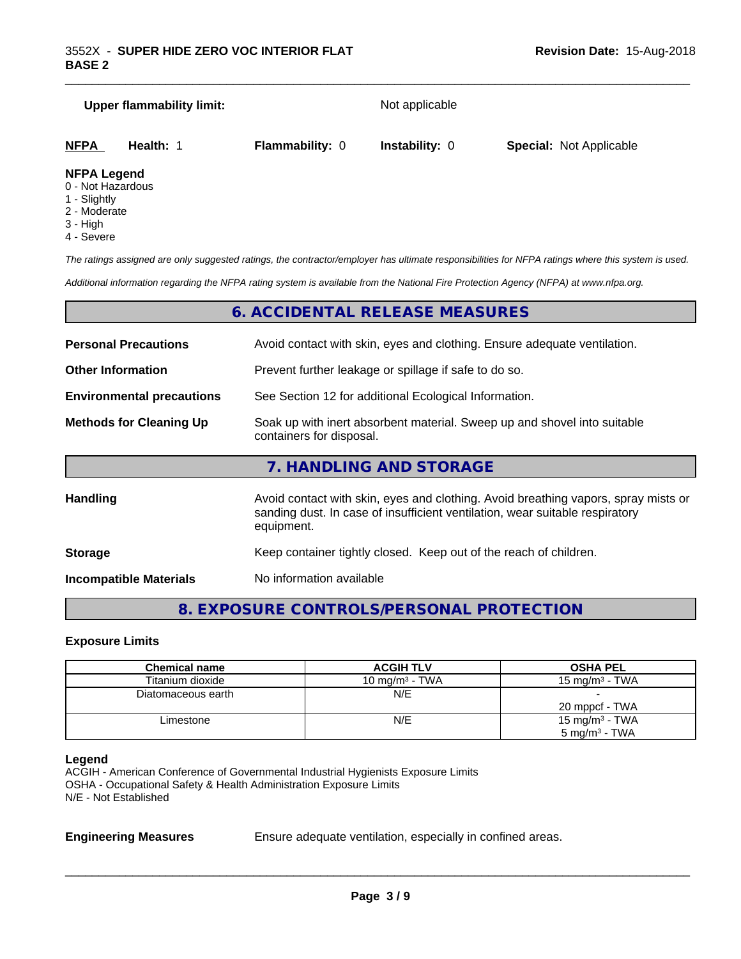# **Upper flammability limit:** Not applicable **NFPA Health:** 1 **Flammability:** 0 **Instability:** 0 **Special:** Not Applicable

#### **NFPA Legend**

- 0 Not Hazardous
- 1 Slightly
- 2 Moderate
- 3 High
- 4 Severe

*The ratings assigned are only suggested ratings, the contractor/employer has ultimate responsibilities for NFPA ratings where this system is used.*

\_\_\_\_\_\_\_\_\_\_\_\_\_\_\_\_\_\_\_\_\_\_\_\_\_\_\_\_\_\_\_\_\_\_\_\_\_\_\_\_\_\_\_\_\_\_\_\_\_\_\_\_\_\_\_\_\_\_\_\_\_\_\_\_\_\_\_\_\_\_\_\_\_\_\_\_\_\_\_\_\_\_\_\_\_\_\_\_\_\_\_\_\_

*Additional information regarding the NFPA rating system is available from the National Fire Protection Agency (NFPA) at www.nfpa.org.*

## **6. ACCIDENTAL RELEASE MEASURES**

| <b>Personal Precautions</b>      | Avoid contact with skin, eyes and clothing. Ensure adequate ventilation.                                                                                                         |  |
|----------------------------------|----------------------------------------------------------------------------------------------------------------------------------------------------------------------------------|--|
| <b>Other Information</b>         | Prevent further leakage or spillage if safe to do so.                                                                                                                            |  |
| <b>Environmental precautions</b> | See Section 12 for additional Ecological Information.                                                                                                                            |  |
| <b>Methods for Cleaning Up</b>   | Soak up with inert absorbent material. Sweep up and shovel into suitable<br>containers for disposal.                                                                             |  |
|                                  | 7. HANDLING AND STORAGE                                                                                                                                                          |  |
| Handling                         | Avoid contact with skin, eyes and clothing. Avoid breathing vapors, spray mists or<br>sanding dust. In case of insufficient ventilation, wear suitable respiratory<br>equipment. |  |
| <b>Storage</b>                   | Keep container tightly closed. Keep out of the reach of children.                                                                                                                |  |

**Incompatible Materials** No information available

# **8. EXPOSURE CONTROLS/PERSONAL PROTECTION**

#### **Exposure Limits**

| <b>Chemical name</b> | <b>ACGIH TLV</b>  | <b>OSHA PEL</b>          |
|----------------------|-------------------|--------------------------|
| Titanium dioxide     | 10 mg/m $3$ - TWA | 15 mg/m $3$ - TWA        |
| Diatomaceous earth   | N/E               |                          |
|                      |                   | 20 mppcf - TWA           |
| Limestone            | N/E               | 15 mg/m $3$ - TWA        |
|                      |                   | $5 \text{ mg/m}^3$ - TWA |

#### **Legend**

ACGIH - American Conference of Governmental Industrial Hygienists Exposure Limits OSHA - Occupational Safety & Health Administration Exposure Limits N/E - Not Established

**Engineering Measures** Ensure adequate ventilation, especially in confined areas.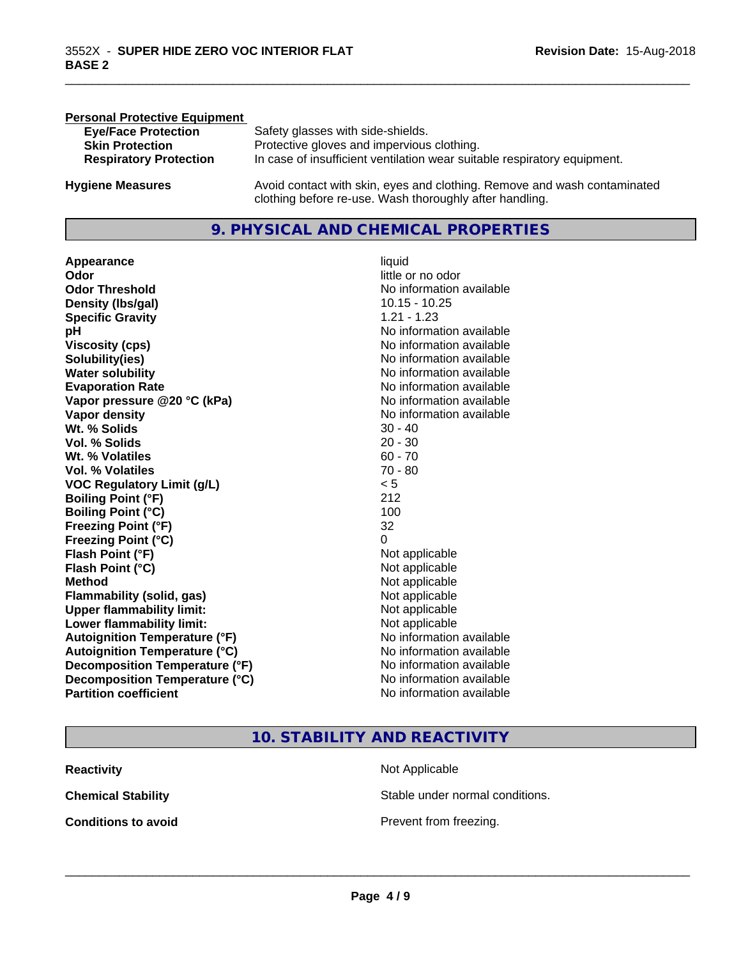| <b>Personal Protective Equipment</b> |                                                                                                                                     |
|--------------------------------------|-------------------------------------------------------------------------------------------------------------------------------------|
| <b>Eye/Face Protection</b>           | Safety glasses with side-shields.                                                                                                   |
| <b>Skin Protection</b>               | Protective gloves and impervious clothing.                                                                                          |
| <b>Respiratory Protection</b>        | In case of insufficient ventilation wear suitable respiratory equipment.                                                            |
| <b>Hygiene Measures</b>              | Avoid contact with skin, eyes and clothing. Remove and wash contaminated<br>clothing before re-use. Wash thoroughly after handling. |

## **9. PHYSICAL AND CHEMICAL PROPERTIES**

**Appearance** liquid **Odor** little or no odor **Odor Threshold**<br> **Density (Ibs/gal)**<br> **Density (Ibs/gal)**<br> **No information available**<br>
10.15 - 10.25 **Density (Ibs/gal) Specific Gravity** 1.21 - 1.23 **pH pH**  $\blacksquare$ **Viscosity (cps)** No information available<br> **Solubility(ies)** No information available<br>
No information available **Solubility(ies)**<br> **No information available**<br> **Water solubility**<br> **Water solubility Evaporation Rate No information available No information available Vapor pressure @20 °C (kPa)** No information available **Vapor density**<br> **Vapor density**<br> **With % Solids**<br>
With % Solids  $30 - 40$ Wt. % Solids **Vol. % Solids** 20 - 30 **Wt. % Volatiles** 60 - 70 **Vol. % Volatiles** 70 - 80 **VOC Regulatory Limit (g/L)** < 5 **Boiling Point (°F)** 212 **Boiling Point (°C)** 100 **Freezing Point (°F)** 32 **Freezing Point (°C)** 0 **Flash Point (°F)**<br> **Flash Point (°C)**<br> **Flash Point (°C)**<br> **C Flash Point (°C) Method** Not applicable not applicable not applicable not applicable not applicable not applicable not applicable not applicable not applicable not applicable not applicable not applicable not applicable not applicable not **Flammability (solid, gas)**<br> **Upper flammability limit:**<br>
Upper flammability limit:<br>  $\begin{array}{ccc}\n\bullet & \bullet & \bullet \\
\bullet & \bullet & \bullet\n\end{array}$ **Upper flammability limit: Lower flammability limit:** Not applicable **Autoignition Temperature (°F)** No information available **Autoignition Temperature (°C)** No information available **Decomposition Temperature (°F)** No information available **Decomposition Temperature (°C)**<br> **Partition coefficient**<br> **Partition coefficient**<br> **No** information available

**No information available No information available** 

\_\_\_\_\_\_\_\_\_\_\_\_\_\_\_\_\_\_\_\_\_\_\_\_\_\_\_\_\_\_\_\_\_\_\_\_\_\_\_\_\_\_\_\_\_\_\_\_\_\_\_\_\_\_\_\_\_\_\_\_\_\_\_\_\_\_\_\_\_\_\_\_\_\_\_\_\_\_\_\_\_\_\_\_\_\_\_\_\_\_\_\_\_

#### **10. STABILITY AND REACTIVITY**

| Reactivity          | Not Applicable         |
|---------------------|------------------------|
| Chemical Stability  | Stable under normal c  |
| Conditions to avoid | Prevent from freezing. |

**Not Applicable** 

Stable under normal conditions.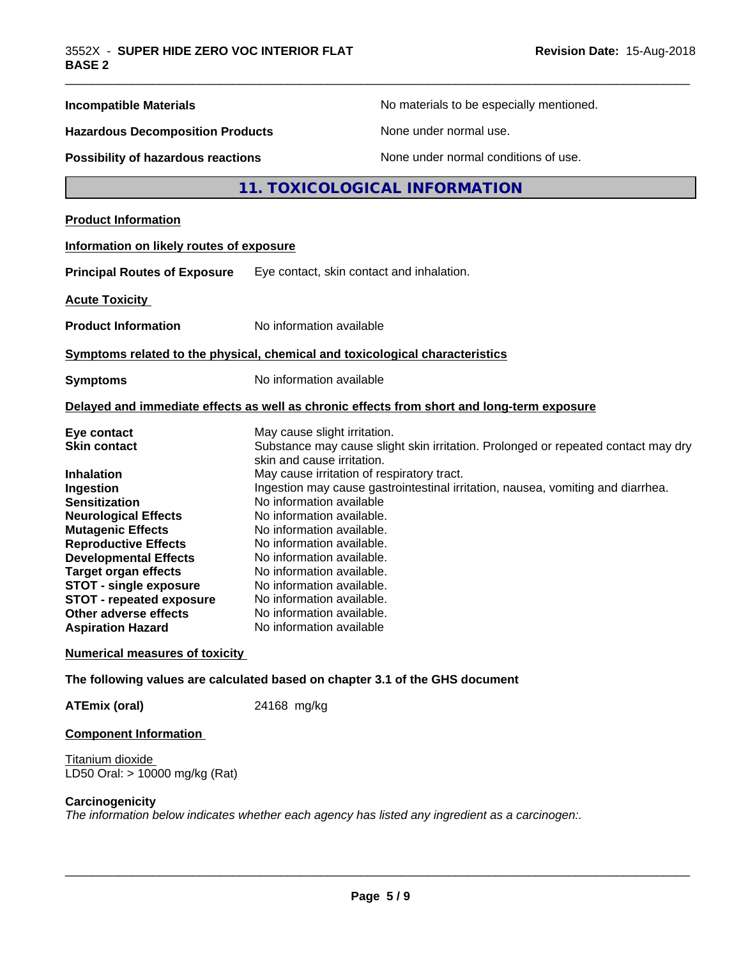| <b>Incompatible Materials</b>                                                        |                                            | No materials to be especially mentioned.                                                   |  |
|--------------------------------------------------------------------------------------|--------------------------------------------|--------------------------------------------------------------------------------------------|--|
| <b>Hazardous Decomposition Products</b><br><b>Possibility of hazardous reactions</b> |                                            | None under normal use.<br>None under normal conditions of use.                             |  |
|                                                                                      |                                            |                                                                                            |  |
| <b>Product Information</b>                                                           |                                            |                                                                                            |  |
| Information on likely routes of exposure                                             |                                            |                                                                                            |  |
| <b>Principal Routes of Exposure</b>                                                  | Eye contact, skin contact and inhalation.  |                                                                                            |  |
| <b>Acute Toxicity</b>                                                                |                                            |                                                                                            |  |
| <b>Product Information</b>                                                           | No information available                   |                                                                                            |  |
| Symptoms related to the physical, chemical and toxicological characteristics         |                                            |                                                                                            |  |
| <b>Symptoms</b>                                                                      | No information available                   |                                                                                            |  |
|                                                                                      |                                            | Delayed and immediate effects as well as chronic effects from short and long-term exposure |  |
| Eye contact                                                                          | May cause slight irritation.               |                                                                                            |  |
| <b>Skin contact</b>                                                                  | skin and cause irritation.                 | Substance may cause slight skin irritation. Prolonged or repeated contact may dry          |  |
| <b>Inhalation</b>                                                                    | May cause irritation of respiratory tract. |                                                                                            |  |
| Ingestion                                                                            | No information available                   | Ingestion may cause gastrointestinal irritation, nausea, vomiting and diarrhea.            |  |
| <b>Sensitization</b><br><b>Neurological Effects</b>                                  | No information available.                  |                                                                                            |  |
| <b>Mutagenic Effects</b>                                                             | No information available.                  |                                                                                            |  |
| <b>Reproductive Effects</b>                                                          | No information available.                  |                                                                                            |  |
| <b>Developmental Effects</b>                                                         | No information available.                  |                                                                                            |  |
| <b>Target organ effects</b>                                                          | No information available.                  |                                                                                            |  |
| <b>STOT - single exposure</b>                                                        | No information available.                  |                                                                                            |  |
| <b>STOT - repeated exposure</b>                                                      | No information available.                  |                                                                                            |  |
| <b>Other adverse effects</b>                                                         | No information available.                  |                                                                                            |  |
| <b>Aspiration Hazard</b>                                                             | No information available                   |                                                                                            |  |
| <b>Numerical measures of toxicity</b>                                                |                                            |                                                                                            |  |
| The following values are calculated based on chapter 3.1 of the GHS document         |                                            |                                                                                            |  |
| <b>ATEmix (oral)</b>                                                                 | 24168 mg/kg                                |                                                                                            |  |
| <b>Component Information</b>                                                         |                                            |                                                                                            |  |

#### Titanium dioxide LD50 Oral: > 10000 mg/kg (Rat)

#### **Carcinogenicity**

*The information below indicateswhether each agency has listed any ingredient as a carcinogen:.*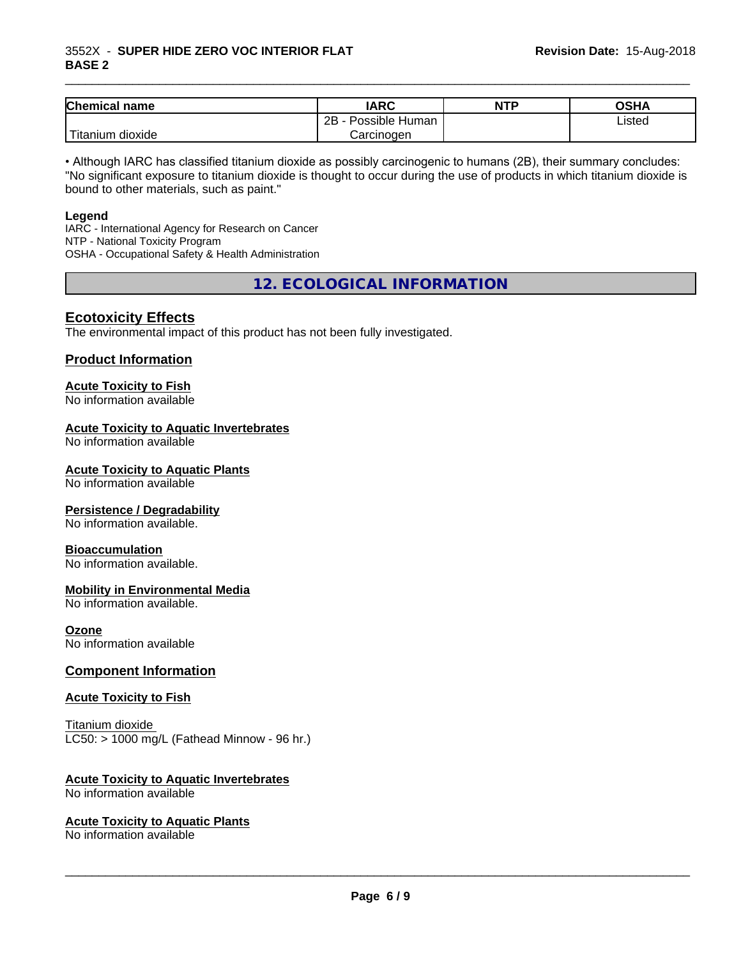#### 3552X - **SUPER HIDE ZERO VOC INTERIOR FLAT BASE 2**

| <b>Chemical</b><br>name                                                                                                                         | <b>IARC</b>          | <b>NTP</b> | <b>OSHA</b> |
|-------------------------------------------------------------------------------------------------------------------------------------------------|----------------------|------------|-------------|
|                                                                                                                                                 | Possible Human<br>2B |            | Listed      |
| <b>The Contract of the Contract of the Contract of the Contract of the Contract of the Contract of the Contract o</b><br>n dioxide<br>l itanıum | Carcinoɑen           |            |             |

\_\_\_\_\_\_\_\_\_\_\_\_\_\_\_\_\_\_\_\_\_\_\_\_\_\_\_\_\_\_\_\_\_\_\_\_\_\_\_\_\_\_\_\_\_\_\_\_\_\_\_\_\_\_\_\_\_\_\_\_\_\_\_\_\_\_\_\_\_\_\_\_\_\_\_\_\_\_\_\_\_\_\_\_\_\_\_\_\_\_\_\_\_

• Although IARC has classified titanium dioxide as possibly carcinogenic to humans (2B), their summary concludes: "No significant exposure to titanium dioxide is thought to occur during the use of products in which titanium dioxide is bound to other materials, such as paint."

#### **Legend**

IARC - International Agency for Research on Cancer NTP - National Toxicity Program OSHA - Occupational Safety & Health Administration

**12. ECOLOGICAL INFORMATION**

#### **Ecotoxicity Effects**

The environmental impact of this product has not been fully investigated.

#### **Product Information**

# **Acute Toxicity to Fish**

No information available

#### **Acute Toxicity to Aquatic Invertebrates**

No information available

#### **Acute Toxicity to Aquatic Plants**

No information available

#### **Persistence / Degradability**

No information available.

#### **Bioaccumulation**

No information available.

#### **Mobility in Environmental Media**

No information available.

#### **Ozone**

No information available

#### **Component Information**

#### **Acute Toxicity to Fish**

Titanium dioxide  $LC50:$  > 1000 mg/L (Fathead Minnow - 96 hr.)

#### **Acute Toxicity to Aquatic Invertebrates**

No information available

#### **Acute Toxicity to Aquatic Plants**

No information available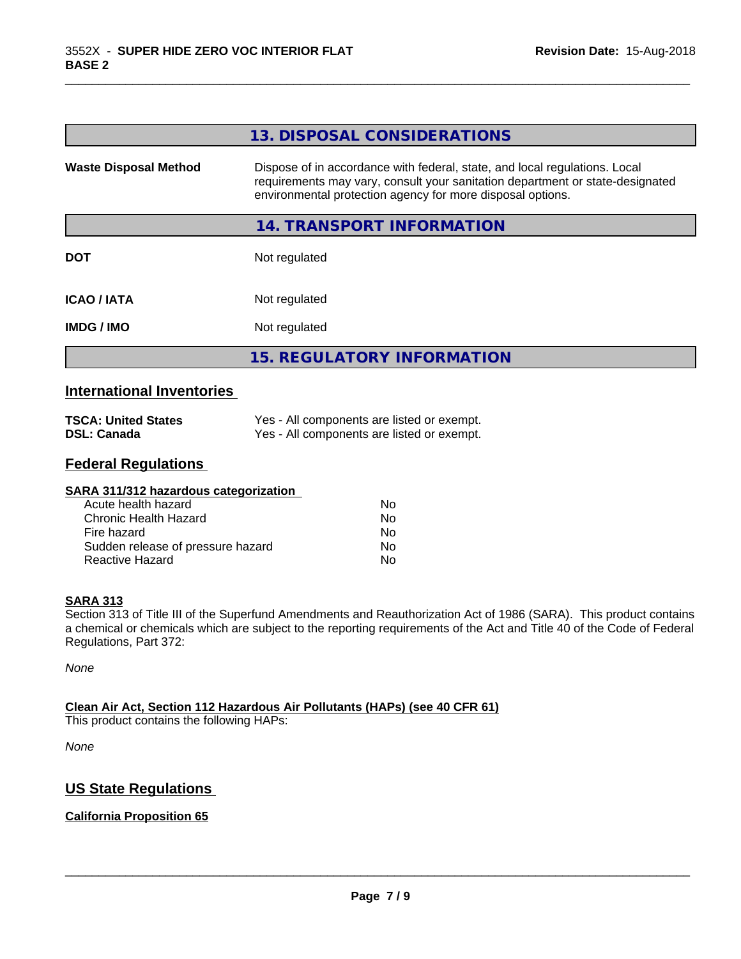|                              | 13. DISPOSAL CONSIDERATIONS                                                                                                                                                                                               |
|------------------------------|---------------------------------------------------------------------------------------------------------------------------------------------------------------------------------------------------------------------------|
| <b>Waste Disposal Method</b> | Dispose of in accordance with federal, state, and local regulations. Local<br>requirements may vary, consult your sanitation department or state-designated<br>environmental protection agency for more disposal options. |
|                              | 14. TRANSPORT INFORMATION                                                                                                                                                                                                 |
| <b>DOT</b>                   | Not regulated                                                                                                                                                                                                             |
| <b>ICAO / IATA</b>           | Not regulated                                                                                                                                                                                                             |
| <b>IMDG / IMO</b>            | Not regulated                                                                                                                                                                                                             |
|                              | <b>15. REGULATORY INFORMATION</b>                                                                                                                                                                                         |
|                              |                                                                                                                                                                                                                           |

\_\_\_\_\_\_\_\_\_\_\_\_\_\_\_\_\_\_\_\_\_\_\_\_\_\_\_\_\_\_\_\_\_\_\_\_\_\_\_\_\_\_\_\_\_\_\_\_\_\_\_\_\_\_\_\_\_\_\_\_\_\_\_\_\_\_\_\_\_\_\_\_\_\_\_\_\_\_\_\_\_\_\_\_\_\_\_\_\_\_\_\_\_

## **International Inventories**

| <b>TSCA: United States</b> | Yes - All components are listed or exempt. |
|----------------------------|--------------------------------------------|
| <b>DSL: Canada</b>         | Yes - All components are listed or exempt. |

# **Federal Regulations**

| SARA 311/312 hazardous categorization |    |  |
|---------------------------------------|----|--|
| Acute health hazard                   | Nο |  |
| Chronic Health Hazard                 | No |  |
| Fire hazard                           | Nο |  |
| Sudden release of pressure hazard     | Nο |  |
| Reactive Hazard                       | No |  |

#### **SARA 313**

Section 313 of Title III of the Superfund Amendments and Reauthorization Act of 1986 (SARA). This product contains a chemical or chemicals which are subject to the reporting requirements of the Act and Title 40 of the Code of Federal Regulations, Part 372:

*None*

### **Clean Air Act,Section 112 Hazardous Air Pollutants (HAPs) (see 40 CFR 61)**

This product contains the following HAPs:

*None*

# **US State Regulations**

## **California Proposition 65**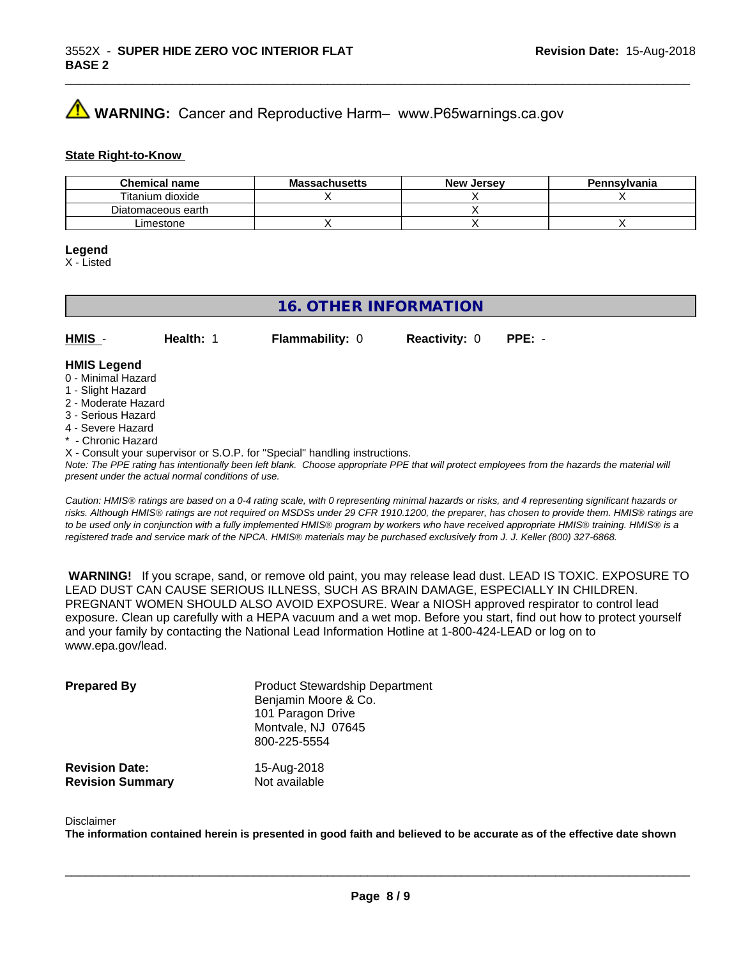# **A** WARNING: Cancer and Reproductive Harm– www.P65warnings.ca.gov

#### **State Right-to-Know**

| <b>Chemical name</b> | <b>Massachusetts</b> | <b>New Jersey</b> | Pennsylvania |
|----------------------|----------------------|-------------------|--------------|
| Titanium dioxide     |                      |                   |              |
| Diatomaceous earth   |                      |                   |              |
| Limestone            |                      |                   |              |

#### **Legend**

X - Listed

# **16. OTHER INFORMATION**

**HMIS** - **Health:** 1 **Flammability:** 0 **Reactivity:** 0 **PPE:** -

#### **HMIS Legend**

- 0 Minimal Hazard
- 1 Slight Hazard
- 2 Moderate Hazard
- 3 Serious Hazard
- 4 Severe Hazard
- **Chronic Hazard**
- X Consult your supervisor or S.O.P. for "Special" handling instructions.

*Note: The PPE rating has intentionally been left blank. Choose appropriate PPE that will protect employees from the hazards the material will present under the actual normal conditions of use.*

*Caution: HMISÒ ratings are based on a 0-4 rating scale, with 0 representing minimal hazards or risks, and 4 representing significant hazards or risks. Although HMISÒ ratings are not required on MSDSs under 29 CFR 1910.1200, the preparer, has chosen to provide them. HMISÒ ratings are to be used only in conjunction with a fully implemented HMISÒ program by workers who have received appropriate HMISÒ training. HMISÒ is a registered trade and service mark of the NPCA. HMISÒ materials may be purchased exclusively from J. J. Keller (800) 327-6868.*

 **WARNING!** If you scrape, sand, or remove old paint, you may release lead dust. LEAD IS TOXIC. EXPOSURE TO LEAD DUST CAN CAUSE SERIOUS ILLNESS, SUCH AS BRAIN DAMAGE, ESPECIALLY IN CHILDREN. PREGNANT WOMEN SHOULD ALSO AVOID EXPOSURE.Wear a NIOSH approved respirator to control lead exposure. Clean up carefully with a HEPA vacuum and a wet mop. Before you start, find out how to protect yourself and your family by contacting the National Lead Information Hotline at 1-800-424-LEAD or log on to www.epa.gov/lead.

| <b>Prepared By</b>      | <b>Product Stewardship Department</b><br>Benjamin Moore & Co.<br>101 Paragon Drive<br>Montvale, NJ 07645<br>800-225-5554 |
|-------------------------|--------------------------------------------------------------------------------------------------------------------------|
| <b>Revision Date:</b>   | 15-Aug-2018                                                                                                              |
| <b>Revision Summary</b> | Not available                                                                                                            |

#### Disclaimer

The information contained herein is presented in good faith and believed to be accurate as of the effective date shown